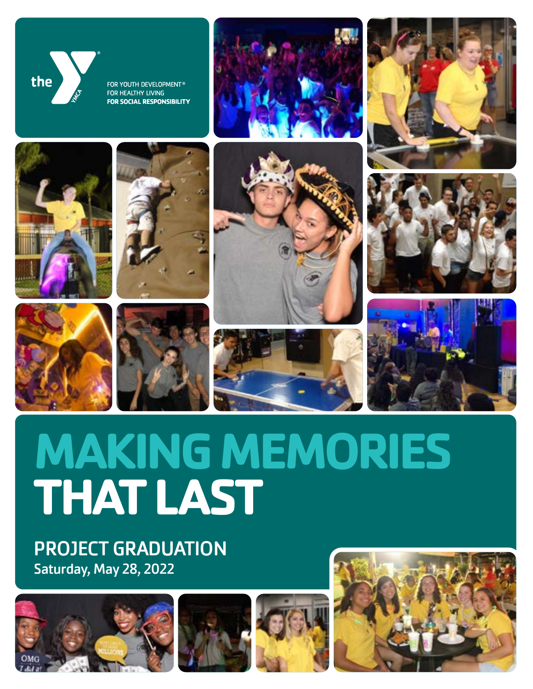

FOR YOUTH DEVELOPMENT® FOR HEALTHY LIVING **FOR SOCIAL RESPONSIBILITY** 











PROJECT GRADUATION Saturday, May 28, 2022















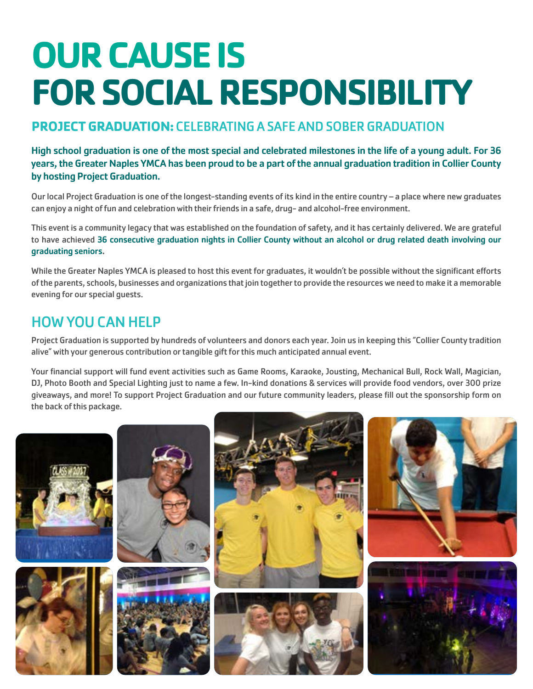# **OUR CAUSE IS FOR SOCIAL RESPONSIBILITY**

### **PROJECT GRADUATION:** CELEBRATING A SAFE AND SOBER GRADUATION

High school graduation is one of the most special and celebrated milestones in the life of a young adult. For 36 years, the Greater Naples YMCA has been proud to be a part of the annual graduation tradition in Collier County by hosting Project Graduation.

Our local Project Graduation is one of the longest-standing events of its kind in the entire country – a place where new graduates can enjoy a night of fun and celebration with their friends in a safe, drug- and alcohol-free environment.

This event is a community legacy that was established on the foundation of safety, and it has certainly delivered. We are grateful to have achieved 36 consecutive graduation nights in Collier County without an alcohol or drug related death involving our graduating seniors.

While the Greater Naples YMCA is pleased to host this event for graduates, it wouldn't be possible without the significant efforts of the parents, schools, businesses and organizations that join together to provide the resources we need to make it a memorable evening for our special guests.

## HOW YOU CAN HELP

Project Graduation is supported by hundreds of volunteers and donors each year. Join us in keeping this "Collier County tradition alive" with your generous contribution or tangible gift for this much anticipated annual event.

Your financial support will fund event activities such as Game Rooms, Karaoke, Jousting, Mechanical Bull, Rock Wall, Magician, DJ, Photo Booth and Special Lighting just to name a few. In-kind donations & services will provide food vendors, over 300 prize giveaways, and more! To support Project Graduation and our future community leaders, please fill out the sponsorship form on the back of this package.

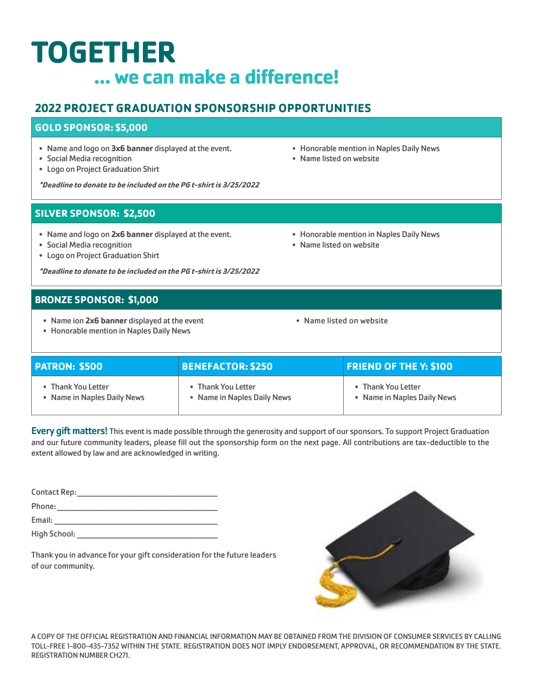## **TOGETHER ... we can make a difference!**

#### **2022 PROJECT GRADUATION SPONSORSHIP OPPORTUNITIES**

#### **GOLD SPONSOR: \$5,000**

- Name and logo on **3x6 banner** displayed at the event.
- Social Media recognition
- Logo on Project Graduation Shirt

**\*Deadline to donate to be included on the PG t-shirt is 3/25/2022**

#### **SILVER SPONSOR: \$2,500**

- Name and logo on **2x6 banner** displayed at the event.
- Social Media recognition
- Logo on Project Graduation Shirt

**\*Deadline to donate to be included on the PG t-shirt is 3/25/2022**

#### **BRONZE SPONSOR: \$1,000**

- Name ion **2x6 banner** displayed at the event
- Honorable mention in Naples Daily News
- Honorable mention in Naples Daily News
- Name listed on website
- Name listed on website

| <b>PATRON: \$500</b>        | <b>BENEFACTOR: \$250</b>    | <b>FRIEND OF THE Y: \$100</b> |
|-----------------------------|-----------------------------|-------------------------------|
| <b>Thank You Letter</b>     | <b>Thank You Letter</b>     | • Thank You Letter            |
| • Name in Naples Daily News | • Name in Naples Daily News | • Name in Naples Daily News   |

Every gift matters! This event is made possible through the generosity and support of our sponsors. To support Project Graduation and our future community leaders, please fill out the sponsorship form on the next page. All contributions are tax-deductible to the extent allowed by law and are acknowledged in writing.

Contact Rep:\_\_\_\_\_\_\_\_\_\_\_\_\_\_\_\_\_\_\_\_\_\_\_\_\_\_\_\_\_\_\_\_\_\_\_\_\_\_\_\_\_\_\_\_\_\_\_\_\_ Phone:\_\_\_\_\_\_\_\_\_\_\_\_\_\_\_\_\_\_\_\_\_\_\_\_\_\_\_\_\_\_\_\_\_\_\_\_\_\_\_\_\_\_\_\_\_\_\_\_\_\_\_\_\_\_\_\_ Email: \_\_\_\_\_\_\_\_\_\_\_\_\_\_\_\_\_\_\_\_\_\_\_\_\_\_\_\_\_\_\_\_\_\_\_\_\_\_\_\_\_\_\_\_\_\_\_\_\_\_\_\_\_\_\_\_\_

High School: \_\_\_\_\_\_\_\_\_\_\_\_\_\_\_\_\_\_\_\_\_\_\_\_\_\_\_\_\_\_\_\_\_\_\_\_\_\_\_\_\_\_\_\_\_\_\_\_\_

Thank you in advance for your gift consideration for the future leaders of our community.



A COPY OF THE OFFICIAL REGISTRATION AND FINANCIAL INFORMATION MAY BE OBTAINED FROM THE DIVISION OF CONSUMER SERVICES BY CALLING TOLL-FREE 1-800-435-7352 WITHIN THE STATE. REGISTRATION DOES NOT IMPLY ENDORSEMENT, APPROVAL, OR RECOMMENDATION BY THE STATE. REGISTRATION NUMBER CH271.

- Honorable mention in Naples Daily News
- Name listed on website